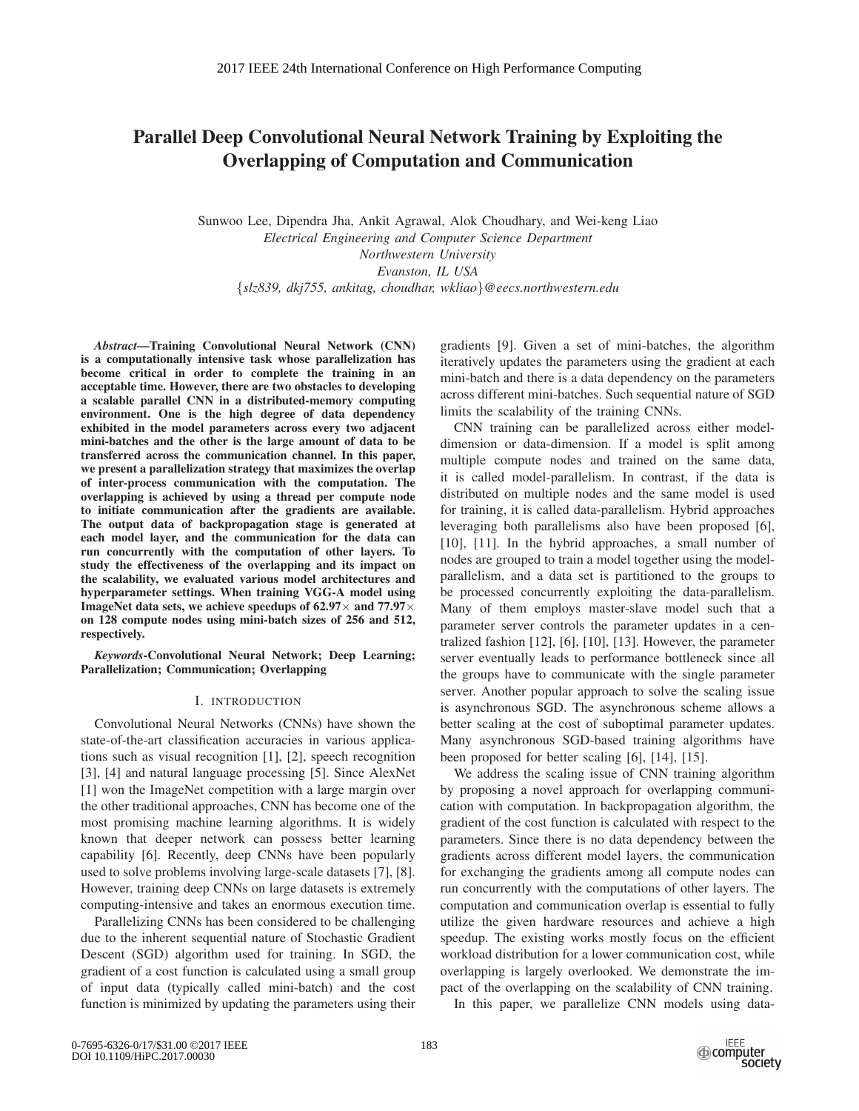# Parallel Deep Convolutional Neural Network Training by Exploiting the Overlapping of Computation and Communication

Sunwoo Lee, Dipendra Jha, Ankit Agrawal, Alok Choudhary, and Wei-keng Liao *Electrical Engineering and Computer Science Department Northwestern University Evanston, IL USA* {*slz839, dkj755, ankitag, choudhar, wkliao*}*@eecs.northwestern.edu*

*Abstract*—Training Convolutional Neural Network (CNN) is a computationally intensive task whose parallelization has become critical in order to complete the training in an acceptable time. However, there are two obstacles to developing a scalable parallel CNN in a distributed-memory computing environment. One is the high degree of data dependency exhibited in the model parameters across every two adjacent mini-batches and the other is the large amount of data to be transferred across the communication channel. In this paper, we present a parallelization strategy that maximizes the overlap of inter-process communication with the computation. The overlapping is achieved by using a thread per compute node to initiate communication after the gradients are available. The output data of backpropagation stage is generated at each model layer, and the communication for the data can run concurrently with the computation of other layers. To study the effectiveness of the overlapping and its impact on the scalability, we evaluated various model architectures and hyperparameter settings. When training VGG-A model using ImageNet data sets, we achieve speedups of 62.97 $\times$  and 77.97 $\times$ on 128 compute nodes using mini-batch sizes of 256 and 512, respectively.

*Keywords*-Convolutional Neural Network; Deep Learning; Parallelization; Communication; Overlapping

# I. INTRODUCTION

Convolutional Neural Networks (CNNs) have shown the state-of-the-art classification accuracies in various applications such as visual recognition [1], [2], speech recognition [3], [4] and natural language processing [5]. Since AlexNet [1] won the ImageNet competition with a large margin over the other traditional approaches, CNN has become one of the most promising machine learning algorithms. It is widely known that deeper network can possess better learning capability [6]. Recently, deep CNNs have been popularly used to solve problems involving large-scale datasets [7], [8]. However, training deep CNNs on large datasets is extremely computing-intensive and takes an enormous execution time.

Parallelizing CNNs has been considered to be challenging due to the inherent sequential nature of Stochastic Gradient Descent (SGD) algorithm used for training. In SGD, the gradient of a cost function is calculated using a small group of input data (typically called mini-batch) and the cost function is minimized by updating the parameters using their gradients [9]. Given a set of mini-batches, the algorithm iteratively updates the parameters using the gradient at each mini-batch and there is a data dependency on the parameters across different mini-batches. Such sequential nature of SGD limits the scalability of the training CNNs.

CNN training can be parallelized across either modeldimension or data-dimension. If a model is split among multiple compute nodes and trained on the same data, it is called model-parallelism. In contrast, if the data is distributed on multiple nodes and the same model is used for training, it is called data-parallelism. Hybrid approaches leveraging both parallelisms also have been proposed [6], [10], [11]. In the hybrid approaches, a small number of nodes are grouped to train a model together using the modelparallelism, and a data set is partitioned to the groups to be processed concurrently exploiting the data-parallelism. Many of them employs master-slave model such that a parameter server controls the parameter updates in a centralized fashion [12], [6], [10], [13]. However, the parameter server eventually leads to performance bottleneck since all the groups have to communicate with the single parameter server. Another popular approach to solve the scaling issue is asynchronous SGD. The asynchronous scheme allows a better scaling at the cost of suboptimal parameter updates. Many asynchronous SGD-based training algorithms have been proposed for better scaling [6], [14], [15].

We address the scaling issue of CNN training algorithm by proposing a novel approach for overlapping communication with computation. In backpropagation algorithm, the gradient of the cost function is calculated with respect to the parameters. Since there is no data dependency between the gradients across different model layers, the communication for exchanging the gradients among all compute nodes can run concurrently with the computations of other layers. The computation and communication overlap is essential to fully utilize the given hardware resources and achieve a high speedup. The existing works mostly focus on the efficient workload distribution for a lower communication cost, while overlapping is largely overlooked. We demonstrate the impact of the overlapping on the scalability of CNN training.

In this paper, we parallelize CNN models using data-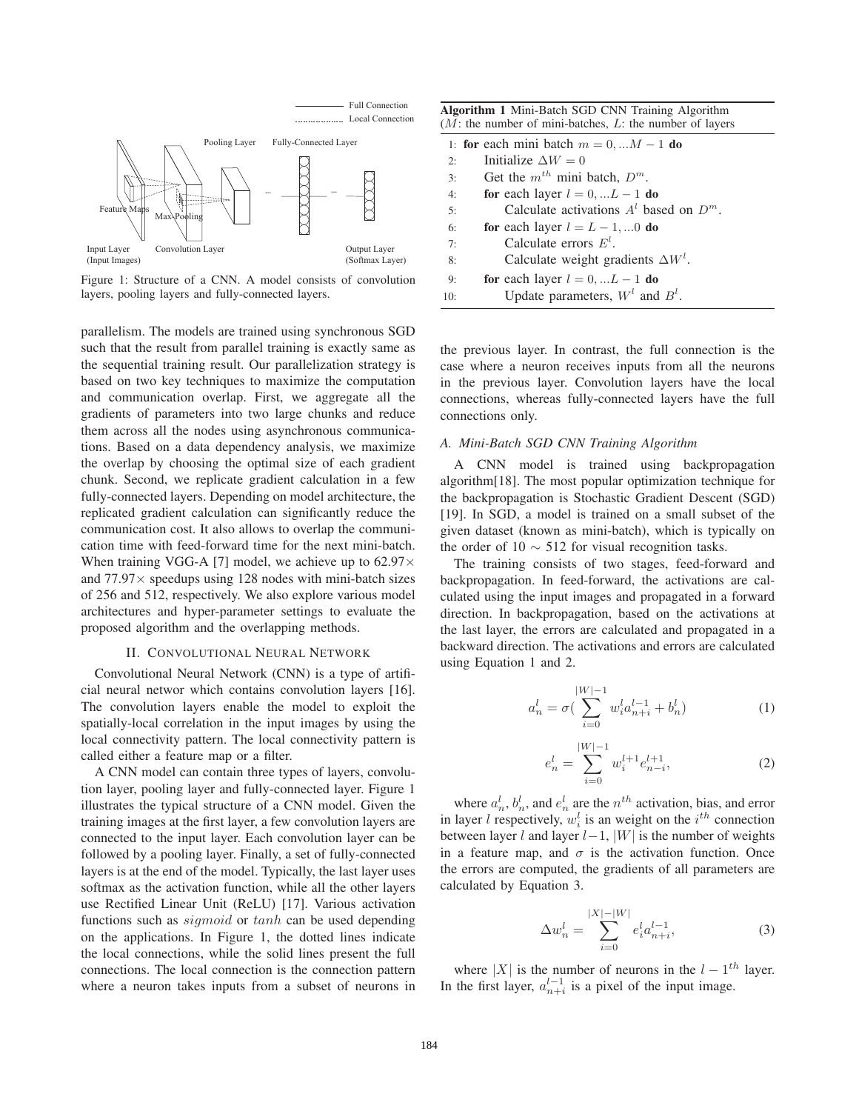

Figure 1: Structure of a CNN. A model consists of convolution layers, pooling layers and fully-connected layers.

parallelism. The models are trained using synchronous SGD such that the result from parallel training is exactly same as the sequential training result. Our parallelization strategy is based on two key techniques to maximize the computation and communication overlap. First, we aggregate all the gradients of parameters into two large chunks and reduce them across all the nodes using asynchronous communications. Based on a data dependency analysis, we maximize the overlap by choosing the optimal size of each gradient chunk. Second, we replicate gradient calculation in a few fully-connected layers. Depending on model architecture, the replicated gradient calculation can significantly reduce the communication cost. It also allows to overlap the communication time with feed-forward time for the next mini-batch. When training VGG-A [7] model, we achieve up to  $62.97 \times$ and  $77.97\times$  speedups using 128 nodes with mini-batch sizes of 256 and 512, respectively. We also explore various model architectures and hyper-parameter settings to evaluate the proposed algorithm and the overlapping methods.

#### II. CONVOLUTIONAL NEURAL NETWORK

Convolutional Neural Network (CNN) is a type of artificial neural networ which contains convolution layers [16]. The convolution layers enable the model to exploit the spatially-local correlation in the input images by using the local connectivity pattern. The local connectivity pattern is called either a feature map or a filter.

A CNN model can contain three types of layers, convolution layer, pooling layer and fully-connected layer. Figure 1 illustrates the typical structure of a CNN model. Given the training images at the first layer, a few convolution layers are connected to the input layer. Each convolution layer can be followed by a pooling layer. Finally, a set of fully-connected layers is at the end of the model. Typically, the last layer uses softmax as the activation function, while all the other layers use Rectified Linear Unit (ReLU) [17]. Various activation functions such as *sigmoid* or tanh can be used depending on the applications. In Figure 1, the dotted lines indicate the local connections, while the solid lines present the full connections. The local connection is the connection pattern where a neuron takes inputs from a subset of neurons in

| <b>Algorithm 1 Mini-Batch SGD CNN Training Algorithm</b><br>$(M:$ the number of mini-batches, L: the number of layers |                                            |  |  |  |  |  |
|-----------------------------------------------------------------------------------------------------------------------|--------------------------------------------|--|--|--|--|--|
| 1: for each mini batch $m = 0, \dots M - 1$ do                                                                        |                                            |  |  |  |  |  |
| 2:                                                                                                                    | Initialize $\Delta W = 0$                  |  |  |  |  |  |
| 3:                                                                                                                    | Get the $m^{th}$ mini batch, $D^m$ .       |  |  |  |  |  |
| 4:                                                                                                                    | for each layer $l = 0, \ldots L - 1$ do    |  |  |  |  |  |
| 5:                                                                                                                    | Calculate activations $Al$ based on $Dm$ . |  |  |  |  |  |
| 6:                                                                                                                    | for each layer $l = L - 1, 0$ do           |  |  |  |  |  |
| 7:                                                                                                                    | Calculate errors $E^l$ .                   |  |  |  |  |  |
| 8:                                                                                                                    | Calculate weight gradients $\Delta W^l$ .  |  |  |  |  |  |
| 9:                                                                                                                    | for each layer $l = 0,  L - 1$ do          |  |  |  |  |  |
| 10:                                                                                                                   | Update parameters, $Wl$ and $Bl$ .         |  |  |  |  |  |

the previous layer. In contrast, the full connection is the case where a neuron receives inputs from all the neurons in the previous layer. Convolution layers have the local connections, whereas fully-connected layers have the full connections only.

## *A. Mini-Batch SGD CNN Training Algorithm*

A CNN model is trained using backpropagation algorithm[18]. The most popular optimization technique for the backpropagation is Stochastic Gradient Descent (SGD) [19]. In SGD, a model is trained on a small subset of the given dataset (known as mini-batch), which is typically on the order of 10  $\sim$  512 for visual recognition tasks.

The training consists of two stages, feed-forward and backpropagation. In feed-forward, the activations are calculated using the input images and propagated in a forward direction. In backpropagation, based on the activations at the last layer, the errors are calculated and propagated in a backward direction. The activations and errors are calculated using Equation 1 and 2.

$$
a_n^l = \sigma \left( \sum_{i=0}^{|W|-1} w_i^l a_{n+i}^{l-1} + b_n^l \right) \tag{1}
$$

$$
e_n^l = \sum_{i=0}^{|W|-1} w_i^{l+1} e_{n-i}^{l+1},\tag{2}
$$

where  $a_n^l$ ,  $b_n^l$ , and  $e_n^l$  are the  $n^{th}$  activation, bias, and error in layer *l* respectively,  $w_i^l$  is an weight on the  $i^{th}$  connection between layer l and layer  $l-1$ , |W| is the number of weights in a feature map, and  $\sigma$  is the activation function. Once the errors are computed, the gradients of all parameters are calculated by Equation 3.

$$
\Delta w_n^l = \sum_{i=0}^{|X| - |W|} e_i^l a_{n+i}^{l-1},\tag{3}
$$

where  $|X|$  is the number of neurons in the  $l - 1<sup>th</sup>$  layer. In the first layer,  $a_{n+i}^{l-1}$  is a pixel of the input image.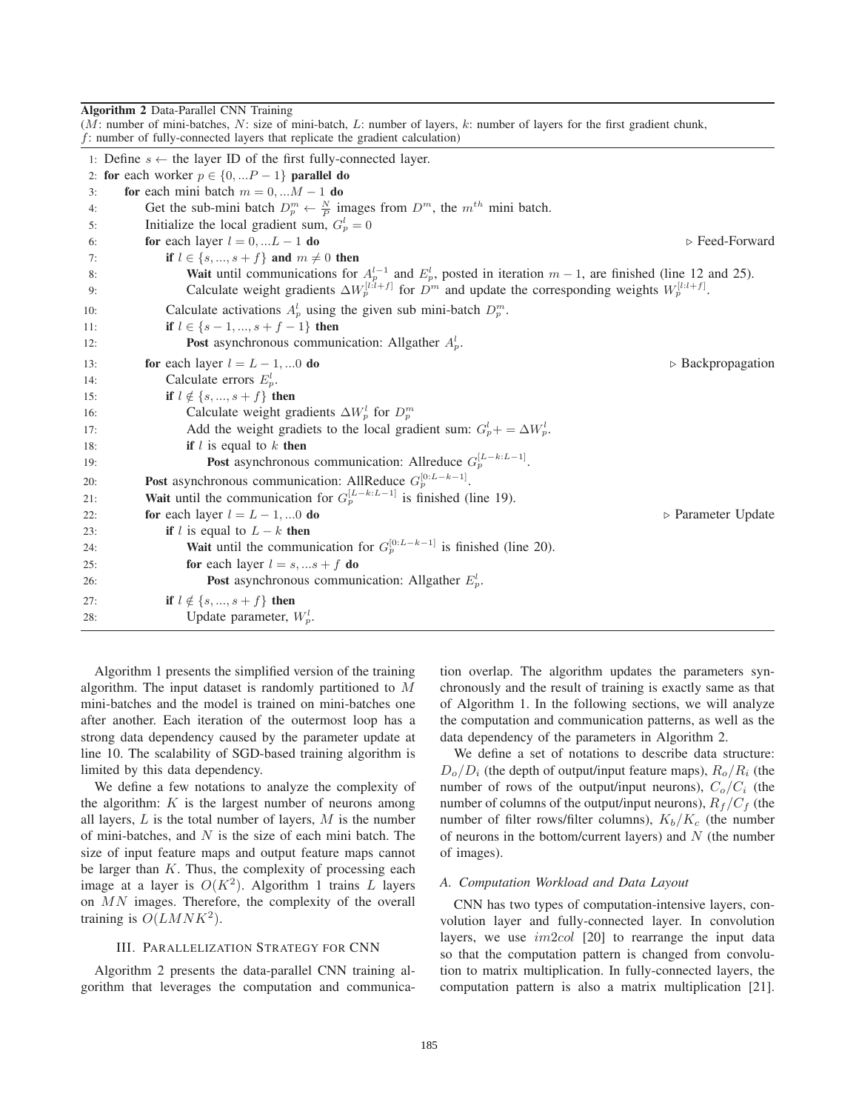**Algorithm 2** Data-Parallel CNN Training<br>( $M$ : number of mini batches  $N$ : size of mini batch  $I$ : number of layers, *ly number* of layers for the first gradient chunk

|          | ( <i>M.</i> number of mini-batches, <i>N.</i> size of mini-batch, <i>L.</i> number of layers, $\kappa$ . number of layers for the first gradient chunk,<br>$f$ : number of fully-connected layers that replicate the gradient calculation)      |  |  |  |  |  |  |
|----------|-------------------------------------------------------------------------------------------------------------------------------------------------------------------------------------------------------------------------------------------------|--|--|--|--|--|--|
|          | 1: Define $s \leftarrow$ the layer ID of the first fully-connected layer.                                                                                                                                                                       |  |  |  |  |  |  |
|          | 2: for each worker $p \in \{0, P-1\}$ parallel do                                                                                                                                                                                               |  |  |  |  |  |  |
| 3:       | for each mini batch $m = 0, \dots M - 1$ do                                                                                                                                                                                                     |  |  |  |  |  |  |
| 4:       | Get the sub-mini batch $D_p^m \leftarrow \frac{N}{p}$ images from $D^m$ , the $m^{th}$ mini batch.                                                                                                                                              |  |  |  |  |  |  |
| 5:       | Initialize the local gradient sum, $G_p^l = 0$                                                                                                                                                                                                  |  |  |  |  |  |  |
| 6:       | $\triangleright$ Feed-Forward<br>for each layer $l = 0, L - 1$ do                                                                                                                                                                               |  |  |  |  |  |  |
| 7:       | if $l \in \{s, , s+f\}$ and $m \neq 0$ then                                                                                                                                                                                                     |  |  |  |  |  |  |
| 8:<br>9: | <b>Wait</b> until communications for $A_p^{l-1}$ and $E_p^l$ , posted in iteration $m-1$ , are finished (line 12 and 25).<br>Calculate weight gradients $\Delta W_p^{[l:l+f]}$ for $D^m$ and update the corresponding weights $W_p^{[l:l+f]}$ . |  |  |  |  |  |  |
|          |                                                                                                                                                                                                                                                 |  |  |  |  |  |  |
| 10:      | Calculate activations $A_p^l$ using the given sub mini-batch $D_p^m$ .                                                                                                                                                                          |  |  |  |  |  |  |
| 11:      | if $l \in \{s-1, , s+f-1\}$ then                                                                                                                                                                                                                |  |  |  |  |  |  |
| 12:      | <b>Post</b> asynchronous communication: Allgather $A_p^l$ .                                                                                                                                                                                     |  |  |  |  |  |  |
| 13:      | $\triangleright$ Backpropagation<br>for each layer $l = L - 1, 0$ do                                                                                                                                                                            |  |  |  |  |  |  |
| 14:      | Calculate errors $E_p^l$ .                                                                                                                                                                                                                      |  |  |  |  |  |  |
| 15:      | if $l \notin \{s, , s+f\}$ then                                                                                                                                                                                                                 |  |  |  |  |  |  |
| 16:      | Calculate weight gradients $\Delta W_p^l$ for $D_p^m$                                                                                                                                                                                           |  |  |  |  |  |  |
| 17:      | Add the weight gradiets to the local gradient sum: $G_p^l + \Delta W_p^l$ .                                                                                                                                                                     |  |  |  |  |  |  |
| 18:      | if $l$ is equal to $k$ then                                                                                                                                                                                                                     |  |  |  |  |  |  |
| 19:      | <b>Post</b> asynchronous communication: Allreduce $G_p^{[L-k:L-1]}$ .                                                                                                                                                                           |  |  |  |  |  |  |
| 20:      | <b>Post</b> asynchronous communication: AllReduce $G_p^{[0:L-k-1]}$ .                                                                                                                                                                           |  |  |  |  |  |  |
| 21:      | <b>Wait</b> until the communication for $G_p^{[L-k:L-1]}$ is finished (line 19).                                                                                                                                                                |  |  |  |  |  |  |
| 22:      | for each layer $l = L - 1, 0$ do<br>$\triangleright$ Parameter Update                                                                                                                                                                           |  |  |  |  |  |  |
| 23:      | if l is equal to $L - k$ then                                                                                                                                                                                                                   |  |  |  |  |  |  |
| 24:      | <b>Wait</b> until the communication for $G_p^{\{0:L-k-1\}}$ is finished (line 20).                                                                                                                                                              |  |  |  |  |  |  |
| 25:      | for each layer $l = s, s + f$ do                                                                                                                                                                                                                |  |  |  |  |  |  |
| 26:      | <b>Post</b> asynchronous communication: Allgather $E_p^l$ .                                                                                                                                                                                     |  |  |  |  |  |  |
| 27:      | <b>if</b> $l \notin \{s, , s + f\}$ then                                                                                                                                                                                                        |  |  |  |  |  |  |
| 28:      | Update parameter, $W_p^l$ .                                                                                                                                                                                                                     |  |  |  |  |  |  |

Algorithm 1 presents the simplified version of the training algorithm. The input dataset is randomly partitioned to M mini-batches and the model is trained on mini-batches one after another. Each iteration of the outermost loop has a strong data dependency caused by the parameter update at line 10. The scalability of SGD-based training algorithm is limited by this data dependency.

We define a few notations to analyze the complexity of the algorithm:  $K$  is the largest number of neurons among all layers,  $L$  is the total number of layers,  $M$  is the number of mini-batches, and  $N$  is the size of each mini batch. The size of input feature maps and output feature maps cannot be larger than  $K$ . Thus, the complexity of processing each image at a layer is  $O(K^2)$ . Algorithm 1 trains L layers on MN images. Therefore, the complexity of the overall training is  $O(LMNK^2)$ .

# III. PARALLELIZATION STRATEGY FOR CNN

Algorithm 2 presents the data-parallel CNN training algorithm that leverages the computation and communica-

tion overlap. The algorithm updates the parameters synchronously and the result of training is exactly same as that of Algorithm 1. In the following sections, we will analyze the computation and communication patterns, as well as the data dependency of the parameters in Algorithm 2.

We define a set of notations to describe data structure:  $D<sub>o</sub>/D<sub>i</sub>$  (the depth of output/input feature maps),  $R<sub>o</sub>/R<sub>i</sub>$  (the number of rows of the output/input neurons),  $C_o/C_i$  (the number of columns of the output/input neurons),  $R_f/C_f$  (the number of filter rows/filter columns),  $K_b/K_c$  (the number of neurons in the bottom/current layers) and  $N$  (the number of images).

# *A. Computation Workload and Data Layout*

CNN has two types of computation-intensive layers, convolution layer and fully-connected layer. In convolution layers, we use  $im2col$  [20] to rearrange the input data so that the computation pattern is changed from convolution to matrix multiplication. In fully-connected layers, the computation pattern is also a matrix multiplication [21].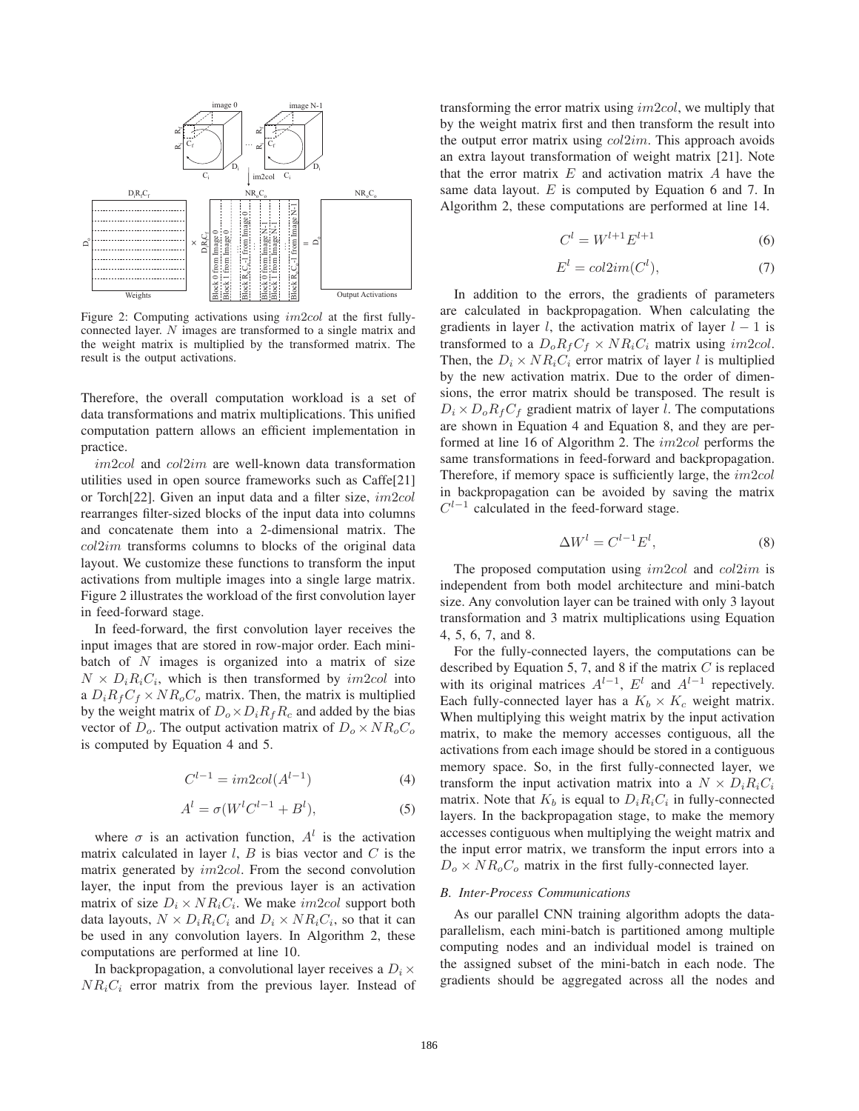

Figure 2: Computing activations using im2col at the first fullyconnected layer. N images are transformed to a single matrix and the weight matrix is multiplied by the transformed matrix. The result is the output activations.

Therefore, the overall computation workload is a set of data transformations and matrix multiplications. This unified computation pattern allows an efficient implementation in practice.

im2col and col2im are well-known data transformation utilities used in open source frameworks such as Caffe[21] or Torch[22]. Given an input data and a filter size, im2col rearranges filter-sized blocks of the input data into columns and concatenate them into a 2-dimensional matrix. The  $col2im$  transforms columns to blocks of the original data layout. We customize these functions to transform the input activations from multiple images into a single large matrix. Figure 2 illustrates the workload of the first convolution layer in feed-forward stage.

In feed-forward, the first convolution layer receives the input images that are stored in row-major order. Each minibatch of  $N$  images is organized into a matrix of size  $N \times D_i R_i C_i$ , which is then transformed by *im2col* into a  $D_iR_fC_f \times NR_oC_o$  matrix. Then, the matrix is multiplied by the weight matrix of  $D_0 \times D_i R_f R_c$  and added by the bias vector of  $D<sub>o</sub>$ . The output activation matrix of  $D<sub>o</sub> \times NR<sub>o</sub>C<sub>o</sub>$ is computed by Equation 4 and 5.

$$
C^{l-1} = im2col(A^{l-1})
$$
 (4)

$$
Al = \sigma(WlCl-1 + Bl),
$$
\n(5)

where  $\sigma$  is an activation function,  $A^l$  is the activation matrix calculated in layer  $l$ ,  $B$  is bias vector and  $C$  is the matrix generated by im2col. From the second convolution layer, the input from the previous layer is an activation matrix of size  $D_i \times NR_iC_i$ . We make *im2col* support both data layouts,  $N \times D_i R_i C_i$  and  $D_i \times NR_i C_i$ , so that it can be used in any convolution layers. In Algorithm 2, these computations are performed at line 10.

In backpropagation, a convolutional layer receives a  $D_i \times$  $NR_iC_i$  error matrix from the previous layer. Instead of transforming the error matrix using  $im2col$ , we multiply that by the weight matrix first and then transform the result into the output error matrix using  $col2im$ . This approach avoids an extra layout transformation of weight matrix [21]. Note that the error matrix  $E$  and activation matrix  $A$  have the same data layout.  $E$  is computed by Equation 6 and 7. In Algorithm 2, these computations are performed at line 14.

$$
C^l = W^{l+1} E^{l+1}
$$
 (6)

$$
E^l = col2im(C^l),\tag{7}
$$

In addition to the errors, the gradients of parameters are calculated in backpropagation. When calculating the gradients in layer l, the activation matrix of layer  $l - 1$  is transformed to a  $D_0R_fC_f \times NR_iC_i$  matrix using *im2col*. Then, the  $D_i \times NR_iC_i$  error matrix of layer l is multiplied by the new activation matrix. Due to the order of dimensions, the error matrix should be transposed. The result is  $D_i \times D_o R_f C_f$  gradient matrix of layer *l*. The computations are shown in Equation 4 and Equation 8, and they are performed at line 16 of Algorithm 2. The *im2col* performs the same transformations in feed-forward and backpropagation. Therefore, if memory space is sufficiently large, the  $im2col$ in backpropagation can be avoided by saving the matrix  $C^{l-1}$  calculated in the feed-forward stage.

$$
\Delta W^l = C^{l-1} E^l,\tag{8}
$$

The proposed computation using *im2col* and *col2im* is independent from both model architecture and mini-batch size. Any convolution layer can be trained with only 3 layout transformation and 3 matrix multiplications using Equation 4, 5, 6, 7, and 8.

For the fully-connected layers, the computations can be described by Equation 5, 7, and 8 if the matrix  $C$  is replaced with its original matrices  $A^{l-1}$ ,  $E^l$  and  $A^{l-1}$  repectively. Each fully-connected layer has a  $K_b \times K_c$  weight matrix. When multiplying this weight matrix by the input activation matrix, to make the memory accesses contiguous, all the activations from each image should be stored in a contiguous memory space. So, in the first fully-connected layer, we transform the input activation matrix into a  $N \times D_i R_i C_i$ matrix. Note that  $K_b$  is equal to  $D_i R_i C_i$  in fully-connected layers. In the backpropagation stage, to make the memory accesses contiguous when multiplying the weight matrix and the input error matrix, we transform the input errors into a  $D<sub>o</sub> \times NR<sub>o</sub>C<sub>o</sub>$  matrix in the first fully-connected layer.

# *B. Inter-Process Communications*

As our parallel CNN training algorithm adopts the dataparallelism, each mini-batch is partitioned among multiple computing nodes and an individual model is trained on the assigned subset of the mini-batch in each node. The gradients should be aggregated across all the nodes and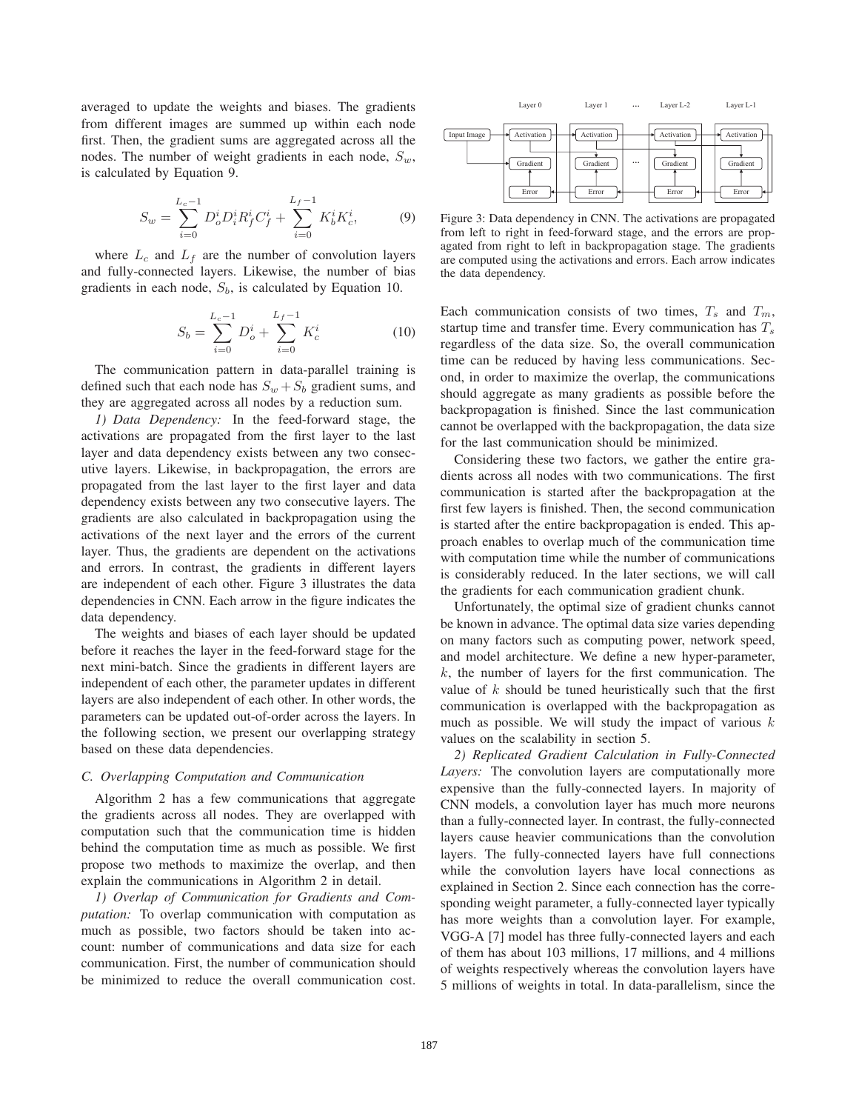averaged to update the weights and biases. The gradients from different images are summed up within each node first. Then, the gradient sums are aggregated across all the nodes. The number of weight gradients in each node, S*w*, is calculated by Equation 9.

$$
S_w = \sum_{i=0}^{L_c - 1} D_o^i D_i^i R_f^i C_f^i + \sum_{i=0}^{L_f - 1} K_b^i K_c^i, \tag{9}
$$

where  $L_c$  and  $L_f$  are the number of convolution layers and fully-connected layers. Likewise, the number of bias gradients in each node, S*b*, is calculated by Equation 10.

$$
S_b = \sum_{i=0}^{L_c - 1} D_o^i + \sum_{i=0}^{L_f - 1} K_c^i
$$
 (10)

The communication pattern in data-parallel training is defined such that each node has  $S_w + S_b$  gradient sums, and they are aggregated across all nodes by a reduction sum.

*1) Data Dependency:* In the feed-forward stage, the activations are propagated from the first layer to the last layer and data dependency exists between any two consecutive layers. Likewise, in backpropagation, the errors are propagated from the last layer to the first layer and data dependency exists between any two consecutive layers. The gradients are also calculated in backpropagation using the activations of the next layer and the errors of the current layer. Thus, the gradients are dependent on the activations and errors. In contrast, the gradients in different layers are independent of each other. Figure 3 illustrates the data dependencies in CNN. Each arrow in the figure indicates the data dependency.

The weights and biases of each layer should be updated before it reaches the layer in the feed-forward stage for the next mini-batch. Since the gradients in different layers are independent of each other, the parameter updates in different layers are also independent of each other. In other words, the parameters can be updated out-of-order across the layers. In the following section, we present our overlapping strategy based on these data dependencies.

# *C. Overlapping Computation and Communication*

Algorithm 2 has a few communications that aggregate the gradients across all nodes. They are overlapped with computation such that the communication time is hidden behind the computation time as much as possible. We first propose two methods to maximize the overlap, and then explain the communications in Algorithm 2 in detail.

*1) Overlap of Communication for Gradients and Computation:* To overlap communication with computation as much as possible, two factors should be taken into account: number of communications and data size for each communication. First, the number of communication should be minimized to reduce the overall communication cost.



Figure 3: Data dependency in CNN. The activations are propagated from left to right in feed-forward stage, and the errors are propagated from right to left in backpropagation stage. The gradients are computed using the activations and errors. Each arrow indicates the data dependency.

Each communication consists of two times,  $T_s$  and  $T_m$ , startup time and transfer time. Every communication has T*<sup>s</sup>* regardless of the data size. So, the overall communication time can be reduced by having less communications. Second, in order to maximize the overlap, the communications should aggregate as many gradients as possible before the backpropagation is finished. Since the last communication cannot be overlapped with the backpropagation, the data size for the last communication should be minimized.

Considering these two factors, we gather the entire gradients across all nodes with two communications. The first communication is started after the backpropagation at the first few layers is finished. Then, the second communication is started after the entire backpropagation is ended. This approach enables to overlap much of the communication time with computation time while the number of communications is considerably reduced. In the later sections, we will call the gradients for each communication gradient chunk.

Unfortunately, the optimal size of gradient chunks cannot be known in advance. The optimal data size varies depending on many factors such as computing power, network speed, and model architecture. We define a new hyper-parameter,  $k$ , the number of layers for the first communication. The value of  $k$  should be tuned heuristically such that the first communication is overlapped with the backpropagation as much as possible. We will study the impact of various  $k$ values on the scalability in section 5.

*2) Replicated Gradient Calculation in Fully-Connected Layers:* The convolution layers are computationally more expensive than the fully-connected layers. In majority of CNN models, a convolution layer has much more neurons than a fully-connected layer. In contrast, the fully-connected layers cause heavier communications than the convolution layers. The fully-connected layers have full connections while the convolution layers have local connections as explained in Section 2. Since each connection has the corresponding weight parameter, a fully-connected layer typically has more weights than a convolution layer. For example, VGG-A [7] model has three fully-connected layers and each of them has about 103 millions, 17 millions, and 4 millions of weights respectively whereas the convolution layers have 5 millions of weights in total. In data-parallelism, since the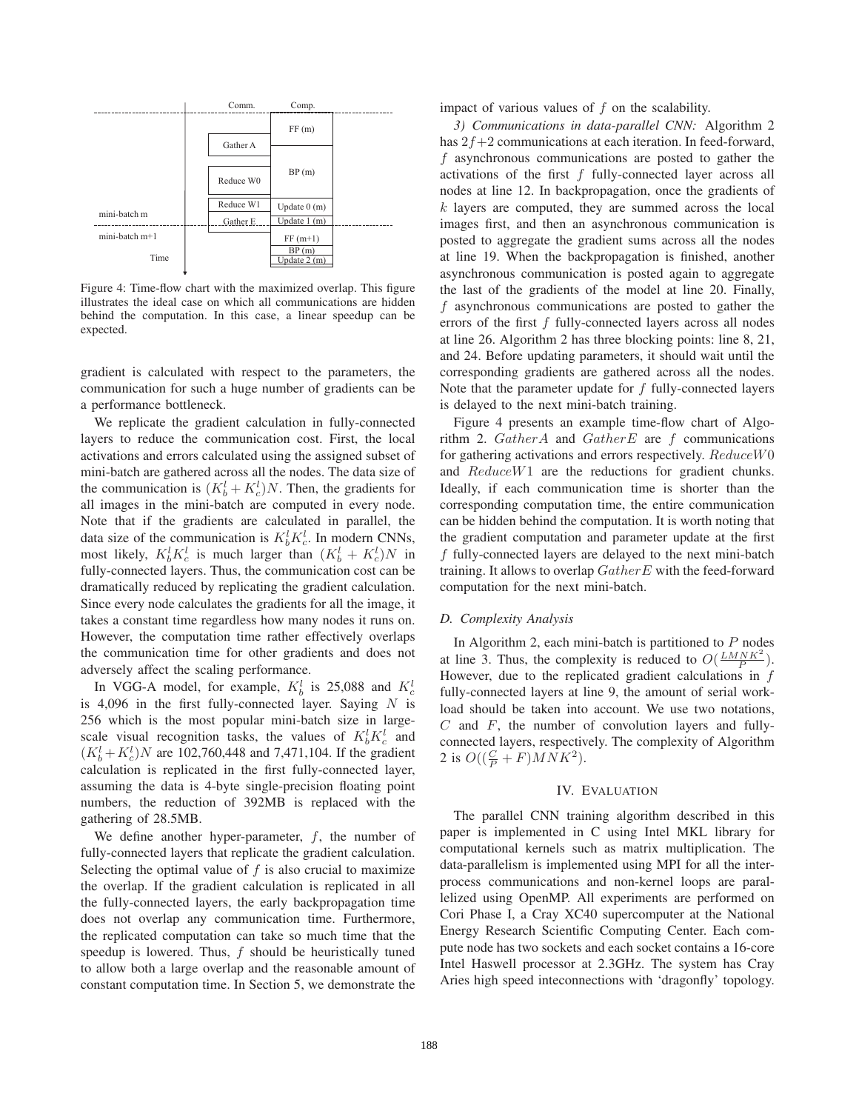

Figure 4: Time-flow chart with the maximized overlap. This figure illustrates the ideal case on which all communications are hidden behind the computation. In this case, a linear speedup can be expected.

gradient is calculated with respect to the parameters, the communication for such a huge number of gradients can be a performance bottleneck.

We replicate the gradient calculation in fully-connected layers to reduce the communication cost. First, the local activations and errors calculated using the assigned subset of mini-batch are gathered across all the nodes. The data size of the communication is  $(K_b^l + K_c^l)N$ . Then, the gradients for all images in the mini-batch are computed in every node. Note that if the gradients are calculated in parallel, the data size of the communication is  $K_b^l K_c^l$ . In modern CNNs, most likely,  $K_b^l K_c^l$  is much larger than  $(K_b^l + K_c^l)N$  in fully-connected layers. Thus, the communication cost can be dramatically reduced by replicating the gradient calculation. Since every node calculates the gradients for all the image, it takes a constant time regardless how many nodes it runs on. However, the computation time rather effectively overlaps the communication time for other gradients and does not adversely affect the scaling performance.

In VGG-A model, for example,  $K_b^l$  is 25,088 and  $K_c^l$ is 4,096 in the first fully-connected layer. Saying  $N$  is 256 which is the most popular mini-batch size in largescale visual recognition tasks, the values of  $K_b^l K_c^l$  and  $(K_b^l + K_c^l)N$  are 102,760,448 and 7,471,104. If the gradient calculation is replicated in the first fully-connected layer, assuming the data is 4-byte single-precision floating point numbers, the reduction of 392MB is replaced with the gathering of 28.5MB.

We define another hyper-parameter,  $f$ , the number of fully-connected layers that replicate the gradient calculation. Selecting the optimal value of  $f$  is also crucial to maximize the overlap. If the gradient calculation is replicated in all the fully-connected layers, the early backpropagation time does not overlap any communication time. Furthermore, the replicated computation can take so much time that the speedup is lowered. Thus, f should be heuristically tuned to allow both a large overlap and the reasonable amount of constant computation time. In Section 5, we demonstrate the

impact of various values of  $f$  on the scalability.

*3) Communications in data-parallel CNN:* Algorithm 2 has  $2f+2$  communications at each iteration. In feed-forward, f asynchronous communications are posted to gather the activations of the first  $f$  fully-connected layer across all nodes at line 12. In backpropagation, once the gradients of  $k$  layers are computed, they are summed across the local images first, and then an asynchronous communication is posted to aggregate the gradient sums across all the nodes at line 19. When the backpropagation is finished, another asynchronous communication is posted again to aggregate the last of the gradients of the model at line 20. Finally, f asynchronous communications are posted to gather the errors of the first  $f$  fully-connected layers across all nodes at line 26. Algorithm 2 has three blocking points: line 8, 21, and 24. Before updating parameters, it should wait until the corresponding gradients are gathered across all the nodes. Note that the parameter update for  $f$  fully-connected layers is delayed to the next mini-batch training.

Figure 4 presents an example time-flow chart of Algorithm 2.  $GatherA$  and  $GatherE$  are f communications for gathering activations and errors respectively. ReduceW0 and ReduceW1 are the reductions for gradient chunks. Ideally, if each communication time is shorter than the corresponding computation time, the entire communication can be hidden behind the computation. It is worth noting that the gradient computation and parameter update at the first f fully-connected layers are delayed to the next mini-batch training. It allows to overlap  $GatherE$  with the feed-forward computation for the next mini-batch.

#### *D. Complexity Analysis*

In Algorithm 2, each mini-batch is partitioned to  $P$  nodes at line 3. Thus, the complexity is reduced to  $O(\frac{LMNK^2}{P})$ . However, due to the replicated gradient calculations in  $f$ fully-connected layers at line 9, the amount of serial workload should be taken into account. We use two notations,  $C$  and  $F$ , the number of convolution layers and fullyconnected layers, respectively. The complexity of Algorithm 2 is  $O((\frac{C}{P} + F)MNK^2)$ .

#### IV. EVALUATION

The parallel CNN training algorithm described in this paper is implemented in C using Intel MKL library for computational kernels such as matrix multiplication. The data-parallelism is implemented using MPI for all the interprocess communications and non-kernel loops are parallelized using OpenMP. All experiments are performed on Cori Phase I, a Cray XC40 supercomputer at the National Energy Research Scientific Computing Center. Each compute node has two sockets and each socket contains a 16-core Intel Haswell processor at 2.3GHz. The system has Cray Aries high speed inteconnections with 'dragonfly' topology.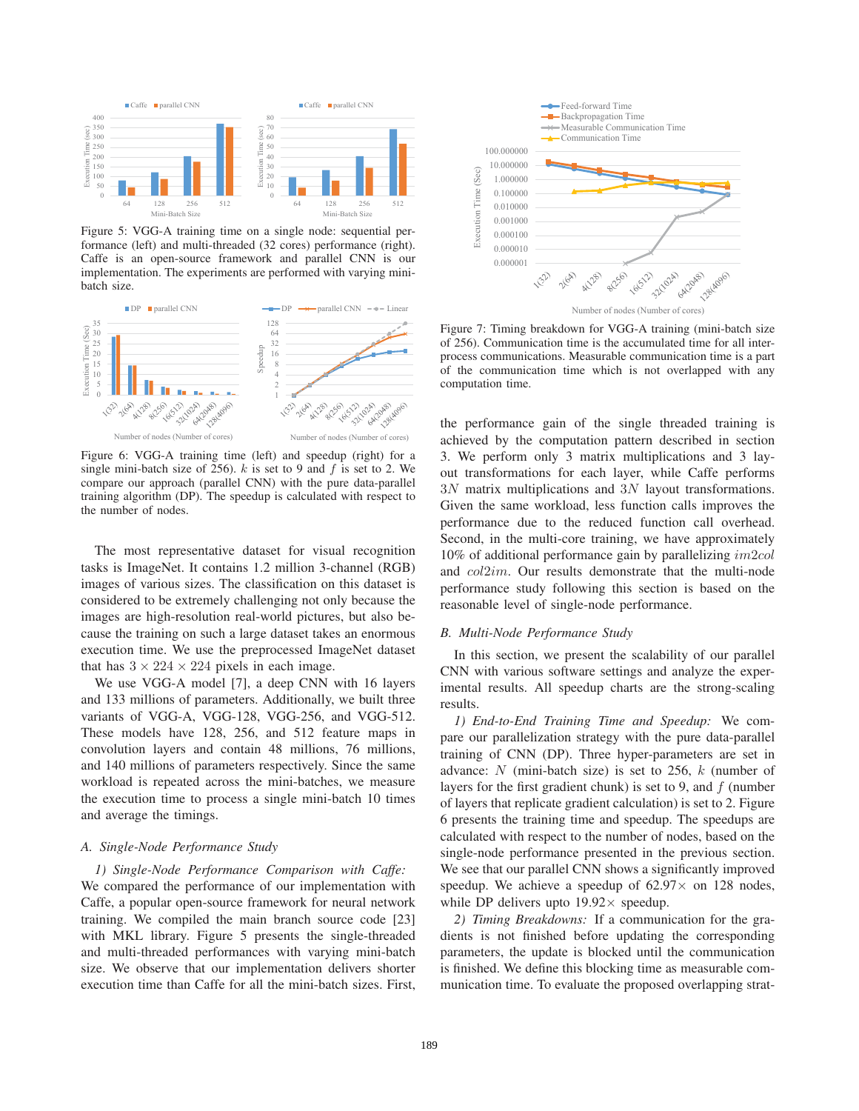

Figure 5: VGG-A training time on a single node: sequential performance (left) and multi-threaded (32 cores) performance (right). Caffe is an open-source framework and parallel CNN is our implementation. The experiments are performed with varying minibatch size.



Figure 6: VGG-A training time (left) and speedup (right) for a single mini-batch size of 256).  $k$  is set to 9 and  $f$  is set to 2. We compare our approach (parallel CNN) with the pure data-parallel training algorithm (DP). The speedup is calculated with respect to the number of nodes.

The most representative dataset for visual recognition tasks is ImageNet. It contains 1.2 million 3-channel (RGB) images of various sizes. The classification on this dataset is considered to be extremely challenging not only because the images are high-resolution real-world pictures, but also because the training on such a large dataset takes an enormous execution time. We use the preprocessed ImageNet dataset that has  $3 \times 224 \times 224$  pixels in each image.

We use VGG-A model [7], a deep CNN with 16 layers and 133 millions of parameters. Additionally, we built three variants of VGG-A, VGG-128, VGG-256, and VGG-512. These models have 128, 256, and 512 feature maps in convolution layers and contain 48 millions, 76 millions, and 140 millions of parameters respectively. Since the same workload is repeated across the mini-batches, we measure the execution time to process a single mini-batch 10 times and average the timings.

# *A. Single-Node Performance Study*

*1) Single-Node Performance Comparison with Caffe:* We compared the performance of our implementation with Caffe, a popular open-source framework for neural network training. We compiled the main branch source code [23] with MKL library. Figure 5 presents the single-threaded and multi-threaded performances with varying mini-batch size. We observe that our implementation delivers shorter execution time than Caffe for all the mini-batch sizes. First,



Figure 7: Timing breakdown for VGG-A training (mini-batch size of 256). Communication time is the accumulated time for all interprocess communications. Measurable communication time is a part of the communication time which is not overlapped with any computation time.

the performance gain of the single threaded training is achieved by the computation pattern described in section 3. We perform only 3 matrix multiplications and 3 layout transformations for each layer, while Caffe performs 3N matrix multiplications and 3N layout transformations. Given the same workload, less function calls improves the performance due to the reduced function call overhead. Second, in the multi-core training, we have approximately 10% of additional performance gain by parallelizing im2col and col2im. Our results demonstrate that the multi-node performance study following this section is based on the reasonable level of single-node performance.

# *B. Multi-Node Performance Study*

In this section, we present the scalability of our parallel CNN with various software settings and analyze the experimental results. All speedup charts are the strong-scaling results.

*1) End-to-End Training Time and Speedup:* We compare our parallelization strategy with the pure data-parallel training of CNN (DP). Three hyper-parameters are set in advance:  $N$  (mini-batch size) is set to 256,  $k$  (number of layers for the first gradient chunk) is set to 9, and  $f$  (number of layers that replicate gradient calculation) is set to 2. Figure 6 presents the training time and speedup. The speedups are calculated with respect to the number of nodes, based on the single-node performance presented in the previous section. We see that our parallel CNN shows a significantly improved speedup. We achieve a speedup of  $62.97\times$  on 128 nodes, while DP delivers upto  $19.92 \times$  speedup.

*2) Timing Breakdowns:* If a communication for the gradients is not finished before updating the corresponding parameters, the update is blocked until the communication is finished. We define this blocking time as measurable communication time. To evaluate the proposed overlapping strat-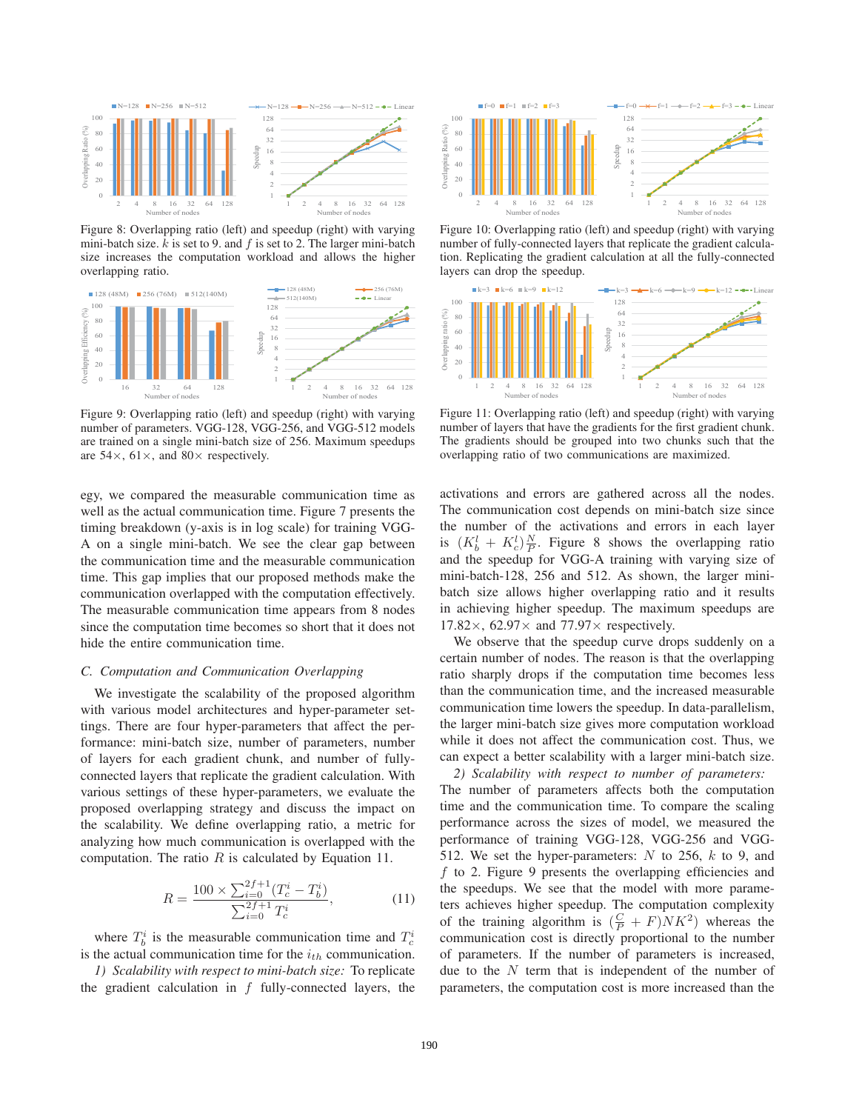

Figure 8: Overlapping ratio (left) and speedup (right) with varying mini-batch size.  $k$  is set to 9. and  $f$  is set to 2. The larger mini-batch size increases the computation workload and allows the higher overlapping ratio.



Figure 9: Overlapping ratio (left) and speedup (right) with varying number of parameters. VGG-128, VGG-256, and VGG-512 models are trained on a single mini-batch size of 256. Maximum speedups are  $54\times$ ,  $61\times$ , and  $80\times$  respectively.

egy, we compared the measurable communication time as well as the actual communication time. Figure 7 presents the timing breakdown (y-axis is in log scale) for training VGG-A on a single mini-batch. We see the clear gap between the communication time and the measurable communication time. This gap implies that our proposed methods make the communication overlapped with the computation effectively. The measurable communication time appears from 8 nodes since the computation time becomes so short that it does not hide the entire communication time.

# *C. Computation and Communication Overlapping*

We investigate the scalability of the proposed algorithm with various model architectures and hyper-parameter settings. There are four hyper-parameters that affect the performance: mini-batch size, number of parameters, number of layers for each gradient chunk, and number of fullyconnected layers that replicate the gradient calculation. With various settings of these hyper-parameters, we evaluate the proposed overlapping strategy and discuss the impact on the scalability. We define overlapping ratio, a metric for analyzing how much communication is overlapped with the computation. The ratio  $R$  is calculated by Equation 11.

$$
R = \frac{100 \times \sum_{i=0}^{2f+1} (T_c^i - T_b^i)}{\sum_{i=0}^{2f+1} T_c^i},\tag{11}
$$

where  $T_b^i$  is the measurable communication time and  $T_c^i$ is the actual communication time for the i*th* communication.

*1) Scalability with respect to mini-batch size:* To replicate the gradient calculation in  $f$  fully-connected layers, the



Figure 10: Overlapping ratio (left) and speedup (right) with varying number of fully-connected layers that replicate the gradient calculation. Replicating the gradient calculation at all the fully-connected layers can drop the speedup.



Figure 11: Overlapping ratio (left) and speedup (right) with varying number of layers that have the gradients for the first gradient chunk. The gradients should be grouped into two chunks such that the overlapping ratio of two communications are maximized.

activations and errors are gathered across all the nodes. The communication cost depends on mini-batch size since the number of the activations and errors in each layer is  $(K_b^l + K_c^l) \frac{N}{P}$ . Figure 8 shows the overlapping ratio and the speedup for VGG-A training with varying size of mini-batch-128, 256 and 512. As shown, the larger minibatch size allows higher overlapping ratio and it results in achieving higher speedup. The maximum speedups are 17.82 $\times$ , 62.97 $\times$  and 77.97 $\times$  respectively.

We observe that the speedup curve drops suddenly on a certain number of nodes. The reason is that the overlapping ratio sharply drops if the computation time becomes less than the communication time, and the increased measurable communication time lowers the speedup. In data-parallelism, the larger mini-batch size gives more computation workload while it does not affect the communication cost. Thus, we can expect a better scalability with a larger mini-batch size.

*2) Scalability with respect to number of parameters:* The number of parameters affects both the computation time and the communication time. To compare the scaling performance across the sizes of model, we measured the performance of training VGG-128, VGG-256 and VGG-512. We set the hyper-parameters:  $N$  to 256,  $k$  to 9, and f to 2. Figure 9 presents the overlapping efficiencies and the speedups. We see that the model with more parameters achieves higher speedup. The computation complexity of the training algorithm is  $(\frac{C}{P} + F)NK^2$  whereas the communication cost is directly proportional to the number of parameters. If the number of parameters is increased, due to the  $N$  term that is independent of the number of parameters, the computation cost is more increased than the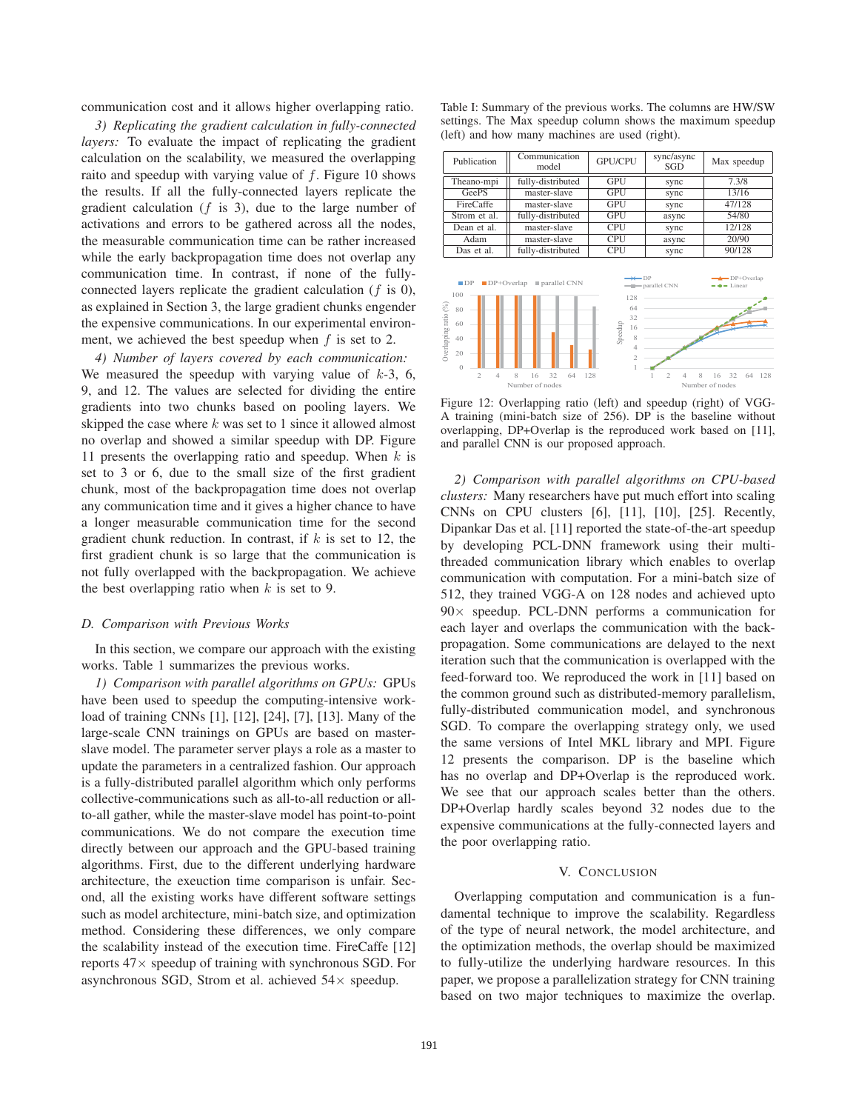communication cost and it allows higher overlapping ratio.

*3) Replicating the gradient calculation in fully-connected layers:* To evaluate the impact of replicating the gradient calculation on the scalability, we measured the overlapping raito and speedup with varying value of  $f$ . Figure 10 shows the results. If all the fully-connected layers replicate the gradient calculation  $(f \text{ is } 3)$ , due to the large number of activations and errors to be gathered across all the nodes, the measurable communication time can be rather increased while the early backpropagation time does not overlap any communication time. In contrast, if none of the fullyconnected layers replicate the gradient calculation (f is 0), as explained in Section 3, the large gradient chunks engender the expensive communications. In our experimental environment, we achieved the best speedup when  $f$  is set to 2.

*4) Number of layers covered by each communication:* We measured the speedup with varying value of  $k-3$ , 6, 9, and 12. The values are selected for dividing the entire gradients into two chunks based on pooling layers. We skipped the case where  $k$  was set to 1 since it allowed almost no overlap and showed a similar speedup with DP. Figure 11 presents the overlapping ratio and speedup. When  $k$  is set to 3 or 6, due to the small size of the first gradient chunk, most of the backpropagation time does not overlap any communication time and it gives a higher chance to have a longer measurable communication time for the second gradient chunk reduction. In contrast, if  $k$  is set to 12, the first gradient chunk is so large that the communication is not fully overlapped with the backpropagation. We achieve the best overlapping ratio when  $k$  is set to 9.

#### *D. Comparison with Previous Works*

In this section, we compare our approach with the existing works. Table 1 summarizes the previous works.

*1) Comparison with parallel algorithms on GPUs:* GPUs have been used to speedup the computing-intensive workload of training CNNs [1], [12], [24], [7], [13]. Many of the large-scale CNN trainings on GPUs are based on masterslave model. The parameter server plays a role as a master to update the parameters in a centralized fashion. Our approach is a fully-distributed parallel algorithm which only performs collective-communications such as all-to-all reduction or allto-all gather, while the master-slave model has point-to-point communications. We do not compare the execution time directly between our approach and the GPU-based training algorithms. First, due to the different underlying hardware architecture, the exeuction time comparison is unfair. Second, all the existing works have different software settings such as model architecture, mini-batch size, and optimization method. Considering these differences, we only compare the scalability instead of the execution time. FireCaffe [12] reports  $47\times$  speedup of training with synchronous SGD. For asynchronous SGD, Strom et al. achieved  $54\times$  speedup.

Table I: Summary of the previous works. The columns are HW/SW settings. The Max speedup column shows the maximum speedup (left) and how many machines are used (right).

| Publication                                                                                                                                 | Communication<br>model                                                                      | GPU/CPU                                                                                           | sync/async<br>SGD                                          | Max speedup                                                                                |
|---------------------------------------------------------------------------------------------------------------------------------------------|---------------------------------------------------------------------------------------------|---------------------------------------------------------------------------------------------------|------------------------------------------------------------|--------------------------------------------------------------------------------------------|
| Theano-mpi                                                                                                                                  | fully-distributed                                                                           | <b>GPU</b>                                                                                        | sync                                                       | 7.3/8                                                                                      |
| GeePS                                                                                                                                       | master-slave                                                                                | <b>GPU</b>                                                                                        | sync                                                       | 13/16                                                                                      |
| FireCaffe                                                                                                                                   | master-slave                                                                                | <b>GPU</b>                                                                                        | sync                                                       | 47/128                                                                                     |
| Strom et al.                                                                                                                                | fully-distributed                                                                           | <b>GPU</b>                                                                                        | async                                                      | 54/80                                                                                      |
| Dean et al.                                                                                                                                 | master-slave                                                                                | <b>CPU</b>                                                                                        | sync                                                       | 12/128                                                                                     |
| Adam                                                                                                                                        | master-slave                                                                                | <b>CPU</b>                                                                                        | async                                                      | 20/90                                                                                      |
| Das et al.                                                                                                                                  | fully-distributed                                                                           | <b>CPU</b>                                                                                        | sync                                                       | 90/128                                                                                     |
| $\blacksquare$ $DP$<br>$\blacksquare$ DP+Overlap<br>100<br>Overlapping ratio (%)<br>80<br>60<br>40<br>20<br>$\Omega$<br>$\mathfrak{D}$<br>Δ | $\blacksquare$ parallel CNN<br>32<br>$\overline{\mathbf{x}}$<br>64<br>16<br>Number of nodes | $\rightarrow$<br>128<br>64<br>32<br>Speedup<br>16<br>8<br>$\overline{4}$<br>$\overline{2}$<br>128 | - parallel CNN<br>$\mathfrak{D}$<br>$\mathbf{\mathcal{R}}$ | $\rightarrow$ DP+Overlap<br>$\bullet$ - Linear<br>32<br>64<br>128<br>16<br>Number of nodes |

Figure 12: Overlapping ratio (left) and speedup (right) of VGG-A training (mini-batch size of 256). DP is the baseline without overlapping, DP+Overlap is the reproduced work based on [11], and parallel CNN is our proposed approach.

*2) Comparison with parallel algorithms on CPU-based clusters:* Many researchers have put much effort into scaling CNNs on CPU clusters [6], [11], [10], [25]. Recently, Dipankar Das et al. [11] reported the state-of-the-art speedup by developing PCL-DNN framework using their multithreaded communication library which enables to overlap communication with computation. For a mini-batch size of 512, they trained VGG-A on 128 nodes and achieved upto  $90\times$  speedup. PCL-DNN performs a communication for each layer and overlaps the communication with the backpropagation. Some communications are delayed to the next iteration such that the communication is overlapped with the feed-forward too. We reproduced the work in [11] based on the common ground such as distributed-memory parallelism, fully-distributed communication model, and synchronous SGD. To compare the overlapping strategy only, we used the same versions of Intel MKL library and MPI. Figure 12 presents the comparison. DP is the baseline which has no overlap and DP+Overlap is the reproduced work. We see that our approach scales better than the others. DP+Overlap hardly scales beyond 32 nodes due to the expensive communications at the fully-connected layers and the poor overlapping ratio.

# V. CONCLUSION

Overlapping computation and communication is a fundamental technique to improve the scalability. Regardless of the type of neural network, the model architecture, and the optimization methods, the overlap should be maximized to fully-utilize the underlying hardware resources. In this paper, we propose a parallelization strategy for CNN training based on two major techniques to maximize the overlap.